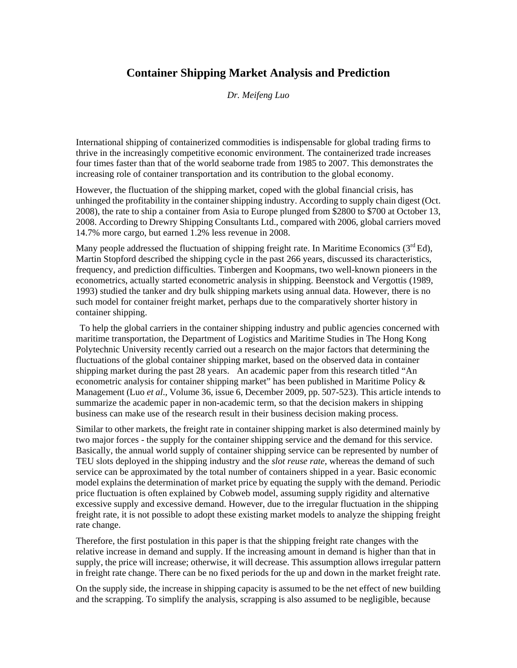## **Container Shipping Market Analysis and Prediction**

*Dr. Meifeng Luo* 

International shipping of containerized commodities is indispensable for global trading firms to thrive in the increasingly competitive economic environment. The containerized trade increases four times faster than that of the world seaborne trade from 1985 to 2007. This demonstrates the increasing role of container transportation and its contribution to the global economy.

However, the fluctuation of the shipping market, coped with the global financial crisis, has unhinged the profitability in the container shipping industry. According to supply chain digest (Oct. 2008), the rate to ship a container from Asia to Europe plunged from \$2800 to \$700 at October 13, 2008. According to Drewry Shipping Consultants Ltd., compared with 2006, global carriers moved 14.7% more cargo, but earned 1.2% less revenue in 2008.

Many people addressed the fluctuation of shipping freight rate. In Maritime Economics  $(3<sup>rd</sup> Ed)$ , Martin Stopford described the shipping cycle in the past 266 years, discussed its characteristics, frequency, and prediction difficulties. Tinbergen and Koopmans, two well-known pioneers in the econometrics, actually started econometric analysis in shipping. Beenstock and Vergottis (1989, 1993) studied the tanker and dry bulk shipping markets using annual data. However, there is no such model for container freight market, perhaps due to the comparatively shorter history in container shipping.

 To help the global carriers in the container shipping industry and public agencies concerned with maritime transportation, the Department of Logistics and Maritime Studies in The Hong Kong Polytechnic University recently carried out a research on the major factors that determining the fluctuations of the global container shipping market, based on the observed data in container shipping market during the past 28 years. An academic paper from this research titled "An econometric analysis for container shipping market" has been published in Maritime Policy & Management (Luo *et al*., Volume 36, issue 6, December 2009, pp. 507-523). This article intends to summarize the academic paper in non-academic term, so that the decision makers in shipping business can make use of the research result in their business decision making process.

Similar to other markets, the freight rate in container shipping market is also determined mainly by two major forces - the supply for the container shipping service and the demand for this service. Basically, the annual world supply of container shipping service can be represented by number of TEU slots deployed in the shipping industry and the *slot reuse rate*, whereas the demand of such service can be approximated by the total number of containers shipped in a year. Basic economic model explains the determination of market price by equating the supply with the demand. Periodic price fluctuation is often explained by Cobweb model, assuming supply rigidity and alternative excessive supply and excessive demand. However, due to the irregular fluctuation in the shipping freight rate, it is not possible to adopt these existing market models to analyze the shipping freight rate change.

Therefore, the first postulation in this paper is that the shipping freight rate changes with the relative increase in demand and supply. If the increasing amount in demand is higher than that in supply, the price will increase; otherwise, it will decrease. This assumption allows irregular pattern in freight rate change. There can be no fixed periods for the up and down in the market freight rate.

On the supply side, the increase in shipping capacity is assumed to be the net effect of new building and the scrapping. To simplify the analysis, scrapping is also assumed to be negligible, because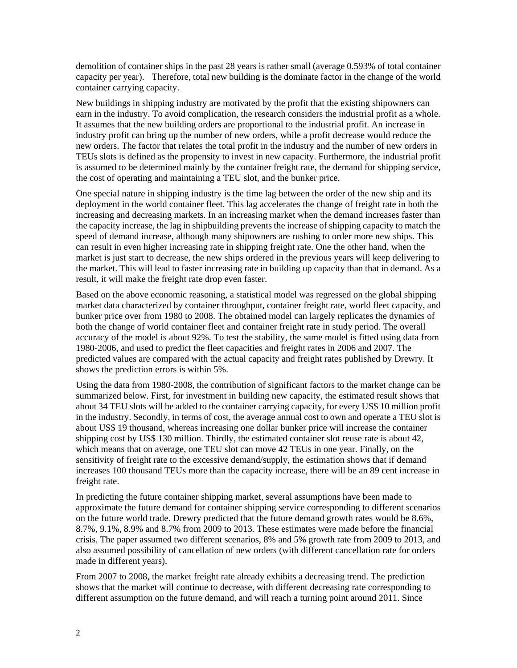demolition of container ships in the past 28 years is rather small (average 0.593% of total container capacity per year). Therefore, total new building is the dominate factor in the change of the world container carrying capacity.

New buildings in shipping industry are motivated by the profit that the existing shipowners can earn in the industry. To avoid complication, the research considers the industrial profit as a whole. It assumes that the new building orders are proportional to the industrial profit. An increase in industry profit can bring up the number of new orders, while a profit decrease would reduce the new orders. The factor that relates the total profit in the industry and the number of new orders in TEUs slots is defined as the propensity to invest in new capacity. Furthermore, the industrial profit is assumed to be determined mainly by the container freight rate, the demand for shipping service, the cost of operating and maintaining a TEU slot, and the bunker price.

One special nature in shipping industry is the time lag between the order of the new ship and its deployment in the world container fleet. This lag accelerates the change of freight rate in both the increasing and decreasing markets. In an increasing market when the demand increases faster than the capacity increase, the lag in shipbuilding prevents the increase of shipping capacity to match the speed of demand increase, although many shipowners are rushing to order more new ships. This can result in even higher increasing rate in shipping freight rate. One the other hand, when the market is just start to decrease, the new ships ordered in the previous years will keep delivering to the market. This will lead to faster increasing rate in building up capacity than that in demand. As a result, it will make the freight rate drop even faster.

Based on the above economic reasoning, a statistical model was regressed on the global shipping market data characterized by container throughput, container freight rate, world fleet capacity, and bunker price over from 1980 to 2008. The obtained model can largely replicates the dynamics of both the change of world container fleet and container freight rate in study period. The overall accuracy of the model is about 92%. To test the stability, the same model is fitted using data from 1980-2006, and used to predict the fleet capacities and freight rates in 2006 and 2007. The predicted values are compared with the actual capacity and freight rates published by Drewry. It shows the prediction errors is within 5%.

Using the data from 1980-2008, the contribution of significant factors to the market change can be summarized below. First, for investment in building new capacity, the estimated result shows that about 34 TEU slots will be added to the container carrying capacity, for every US\$ 10 million profit in the industry. Secondly, in terms of cost, the average annual cost to own and operate a TEU slot is about US\$ 19 thousand, whereas increasing one dollar bunker price will increase the container shipping cost by US\$ 130 million. Thirdly, the estimated container slot reuse rate is about 42, which means that on average, one TEU slot can move 42 TEUs in one year. Finally, on the sensitivity of freight rate to the excessive demand/supply, the estimation shows that if demand increases 100 thousand TEUs more than the capacity increase, there will be an 89 cent increase in freight rate.

In predicting the future container shipping market, several assumptions have been made to approximate the future demand for container shipping service corresponding to different scenarios on the future world trade. Drewry predicted that the future demand growth rates would be 8.6%, 8.7%, 9.1%, 8.9% and 8.7% from 2009 to 2013. These estimates were made before the financial crisis. The paper assumed two different scenarios, 8% and 5% growth rate from 2009 to 2013, and also assumed possibility of cancellation of new orders (with different cancellation rate for orders made in different years).

From 2007 to 2008, the market freight rate already exhibits a decreasing trend. The prediction shows that the market will continue to decrease, with different decreasing rate corresponding to different assumption on the future demand, and will reach a turning point around 2011. Since